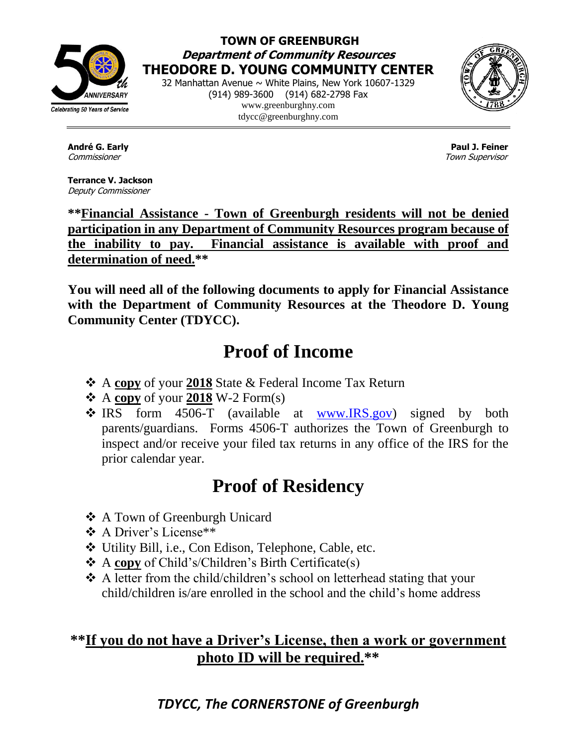

### **TOWN OF GREENBURGH Department of Community Resources THEODORE D. YOUNG COMMUNITY CENTER**

32 Manhattan Avenue ~ White Plains, New York 10607-1329 (914) 989-3600 (914) 682-2798 Fax www.greenburghny.com tdycc@greenburghny.com



**Terrance V. Jackson**  Deputy Commissioner

**André G. Early Paul J. Feiner**  Commissioner Town Supervisor

**\*\*Financial Assistance - Town of Greenburgh residents will not be denied participation in any Department of Community Resources program because of the inability to pay. Financial assistance is available with proof and determination of need.\*\***

**You will need all of the following documents to apply for Financial Assistance with the Department of Community Resources at the Theodore D. Young Community Center (TDYCC).** 

# **Proof of Income**

- A **copy** of your **2018** State & Federal Income Tax Return
- $\triangle$  A copy of your 2018 W-2 Form(s)
- \* IRS form 4506-T (available at [www.IRS.gov\)](http://www.irs.gov/) signed by both parents/guardians. Forms 4506-T authorizes the Town of Greenburgh to inspect and/or receive your filed tax returns in any office of the IRS for the prior calendar year.

# **Proof of Residency**

- A Town of Greenburgh Unicard
- ❖ A Driver's License<sup>\*\*</sup>
- Utility Bill, i.e., Con Edison, Telephone, Cable, etc.
- A **copy** of Child's/Children's Birth Certificate(s)
- ◆ A letter from the child/children's school on letterhead stating that your child/children is/are enrolled in the school and the child's home address

## **\*\*If you do not have a Driver's License, then a work or government photo ID will be required.\*\***

## *TDYCC, The CORNERSTONE of Greenburgh*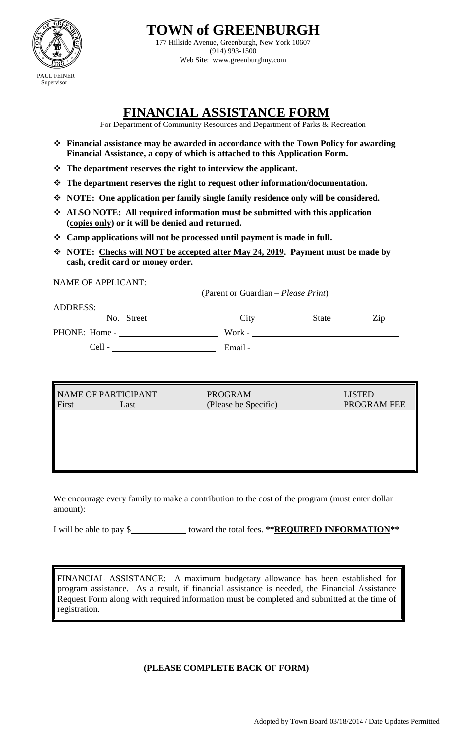

**TOWN of GREENBURGH** 

177 Hillside Avenue, Greenburgh, New York 10607 (914) 993-1500 Web Site: www.greenburghny.com

## **FINANCIAL ASSISTANCE FORM**

For Department of Community Resources and Department of Parks & Recreation

- **Financial assistance may be awarded in accordance with the Town Policy for awarding Financial Assistance, a copy of which is attached to this Application Form.**
- **The department reserves the right to interview the applicant.**
- **The department reserves the right to request other information/documentation.**
- **NOTE: One application per family single family residence only will be considered.**
- **ALSO NOTE: All required information must be submitted with this application (copies only) or it will be denied and returned.**
- **Camp applications will not be processed until payment is made in full.**
- **NOTE: Checks will NOT be accepted after May 24, 2019. Payment must be made by cash, credit card or money order.**

NAME OF APPLICANT:

(Parent or Guardian – *Please Print*)

| <b>ADDRESS:</b> |            |           |              |     |
|-----------------|------------|-----------|--------------|-----|
|                 | No. Street | City      | <b>State</b> | Zip |
| PHONE: Home -   |            | Work -    |              |     |
| Cell -          |            | Email $-$ |              |     |
|                 |            |           |              |     |

| NAME OF PARTICIPANT<br>First | Last | <b>PROGRAM</b><br>(Please be Specific) | <b>LISTED</b><br>PROGRAM FEE |
|------------------------------|------|----------------------------------------|------------------------------|
|                              |      |                                        |                              |
|                              |      |                                        |                              |
|                              |      |                                        |                              |
|                              |      |                                        |                              |

We encourage every family to make a contribution to the cost of the program (must enter dollar amount):

I will be able to pay \$ toward the total fees. **\*\*REQUIRED INFORMATION\*\*** 

FINANCIAL ASSISTANCE: A maximum budgetary allowance has been established for program assistance. As a result, if financial assistance is needed, the Financial Assistance Request Form along with required information must be completed and submitted at the time of registration.

### **(PLEASE COMPLETE BACK OF FORM)**